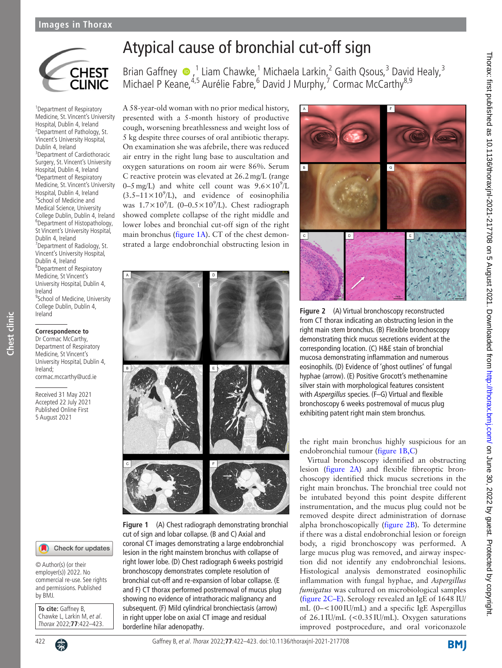

1 Department of Respiratory Medicine, St. Vincent's University Hospital, Dublin 4, Ireland 2 Department of Pathology, St. Vincent's University Hospital, Dublin 4, Ireland 3 Department of Cardiothoracic Surgery, St. Vincent's University Hospital, Dublin 4, Ireland 4 Department of Respiratory Medicine, St. Vincent's University Hospital, Dublin 4, Ireland 5 School of Medicine and Medical Science, University College Dublin, Dublin 4, Ireland 6 Department of Histopathology, St Vincent's University Hospital, Dublin 4, Ireland <sup>7</sup> Department of Radiology, St. Vincent's University Hospital, Dublin 4, Ireland 8 Department of Respiratory Medicine, St Vincent's University Hospital, Dublin 4, Ireland <sup>9</sup> School of Medicine, University College Dublin, Dublin 4, Ireland

**Correspondence to** Dr Cormac McCarthy, Department of Respiratory Medicine, St Vincent's University Hospital, Dublin 4, Ireland; cormac.mccarthy@ucd.ie

Received 31 May 2021 Accepted 22 July 2021 Published Online First 5 August 2021



© Author(s) (or their employer(s)) 2022. No commercial re-use. See rights and permissions. Published by BMJ.

**To cite:** Gaffney B, Chawke L, Larkin M, et al. Thorax 2022;**77**:422–423.

## Atypical cause of bronchial cut-off sign

BrianGaffney  $\bullet$ , <sup>1</sup> Liam Chawke, <sup>1</sup> Michaela Larkin, <sup>2</sup> Gaith Qsous, <sup>3</sup> David Healy, <sup>3</sup> Michael P Keane,<sup>4,5</sup> Aurélie Fabre,<sup>6</sup> David J Murphy,<sup>7</sup> Cormac McCarthy<sup>8,9</sup>

A 58-year-old woman with no prior medical history, presented with a 5-month history of productive cough, worsening breathlessness and weight loss of 5 kg despite three courses of oral antibiotic therapy. On examination she was afebrile, there was reduced air entry in the right lung base to auscultation and oxygen saturations on room air were 86%. Serum C reactive protein was elevated at 26.2mg/L (range 0–5 mg/L) and white cell count was  $9.6 \times 10^9$ /L  $(3.5-11\times10^{9}/L)$ , and evidence of eosinophilia was  $1.7 \times 10^9$ /L (0-0.5 $\times 10^9$ /L). Chest radiograph showed complete collapse of the right middle and lower lobes and bronchial cut-off sign of the right main bronchus [\(figure](#page-0-0) 1A). CT of the chest demonstrated a large endobronchial obstructing lesion in



<span id="page-0-0"></span>**Figure 1** (A) Chest radiograph demonstrating bronchial cut of sign and lobar collapse. (B and C) Axial and coronal CT images demonstrating a large endobronchial lesion in the right mainstem bronchus with collapse of right lower lobe. (D) Chest radiograph 6weeks postrigid bronchoscopy demonstrates complete resolution of bronchial cut-off and re-expansion of lobar collapse. (E and F) CT thorax performed postremoval of mucus plug showing no evidence of intrathoracic malignancy and subsequent. (F) Mild cylindrical bronchiectasis (arrow) in right upper lobe on axial CT image and residual borderline hilar adenopathy.



**Figure 2** (A) Virtual bronchoscopy reconstructed from CT thorax indicating an obstructing lesion in the right main stem bronchus. (B) Flexible bronchoscopy demonstrating thick mucus secretions evident at the corresponding location. (C) H&E stain of bronchial mucosa demonstrating inflammation and numerous eosinophils. (D) Evidence of 'ghost outlines' of fungal hyphae (arrow). (E) Positive Grocott's methenamine silver stain with morphological features consistent with *Aspergillus* species. (F–G) Virtual and flexible bronchoscopy 6 weeks postremoval of mucus plug exhibiting patent right main stem bronchus.

<span id="page-0-1"></span>the right main bronchus highly suspicious for an endobronchial tumour [\(figure](#page-0-0) 1B,C)

Virtual bronchoscopy identified an obstructing lesion ([figure](#page-0-1) 2A) and flexible fibreoptic bronchoscopy identified thick mucus secretions in the right main bronchus. The bronchial tree could not be intubated beyond this point despite different instrumentation, and the mucus plug could not be removed despite direct administration of dornase alpha bronchoscopically [\(figure](#page-0-1) 2B). To determine if there was a distal endobronchial lesion or foreign body, a rigid bronchoscopy was performed. A large mucus plug was removed, and airway inspection did not identify any endobronchial lesions. Histological analysis demonstrated eosinophilic inflammation with fungal hyphae, and *Aspergillus fumigatus* was cultured on microbiological samples ([figure](#page-0-1) 2C–E). Serology revealed an IgE of 1648 IU/ mL (0–<100IU/mL) and a specific IgE Aspergillus of 26.1IU/mL (<0.35IU/mL). Oxygen saturations improved postprocedure, and oral voriconazole

**BMI**